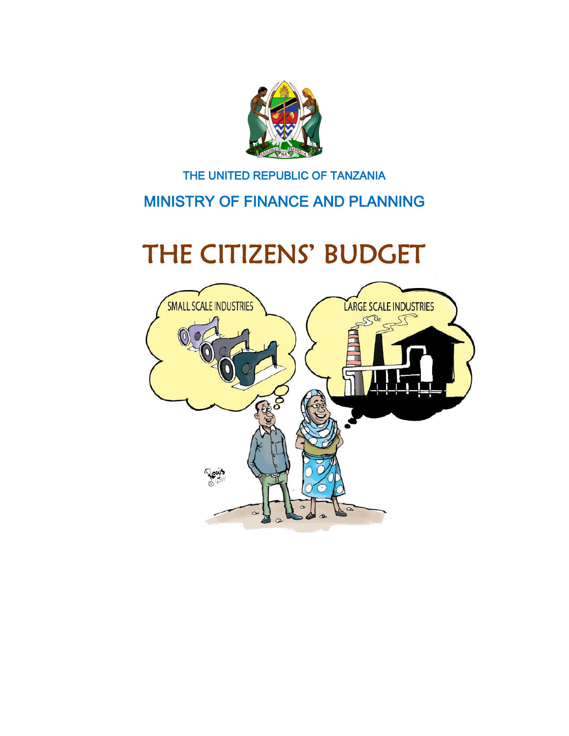

#### THE UNITED REPUBLIC OF TANZANIA

#### MINISTRY OF FINANCE AND PLANNING

# THE CITIZENS' BUDGET

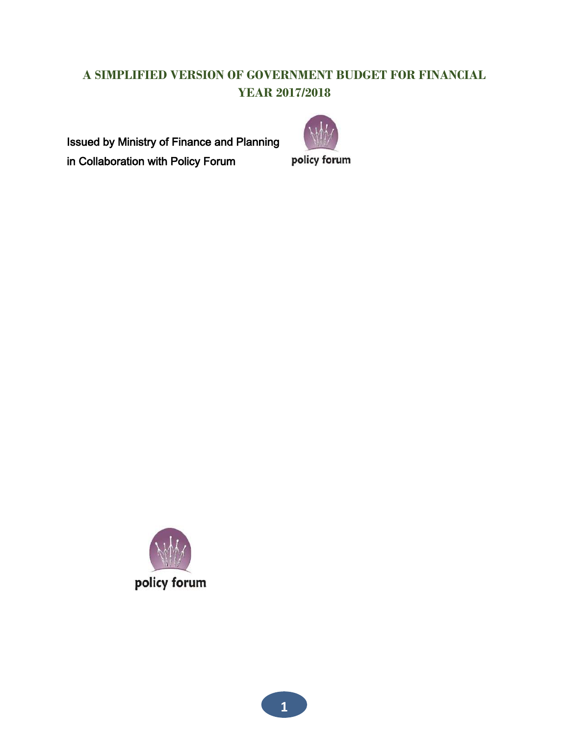#### **A SIMPLIFIED VERSION OF GOVERNMENT BUDGET FOR FINANCIAL YEAR 2017/2018**

Issued by Ministry of Finance and Planning in Collaboration with Policy Forum



policy forum

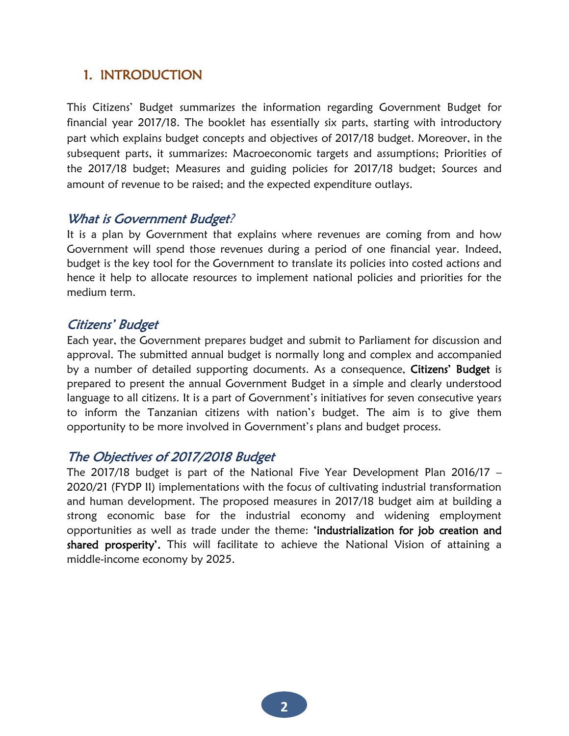#### 1. INTRODUCTION

This Citizens' Budget summarizes the information regarding Government Budget for financial year 2017/18. The booklet has essentially six parts, starting with introductory part which explains budget concepts and objectives of 2017/18 budget. Moreover, in the subsequent parts, it summarizes: Macroeconomic targets and assumptions; Priorities of the 2017/18 budget; Measures and guiding policies for 2017/18 budget; Sources and amount of revenue to be raised; and the expected expenditure outlays.

#### What is Government Budget?

It is a plan by Government that explains where revenues are coming from and how Government will spend those revenues during a period of one financial year. Indeed, budget is the key tool for the Government to translate its policies into costed actions and hence it help to allocate resources to implement national policies and priorities for the medium term.

#### Citizens' Budget

Each year, the Government prepares budget and submit to Parliament for discussion and approval. The submitted annual budget is normally long and complex and accompanied by a number of detailed supporting documents. As a consequence, Citizens' Budget is prepared to present the annual Government Budget in a simple and clearly understood language to all citizens. It is a part of Government's initiatives for seven consecutive years to inform the Tanzanian citizens with nation's budget. The aim is to give them opportunity to be more involved in Government's plans and budget process.

#### The Objectives of 2017/2018 Budget

The 2017/18 budget is part of the National Five Year Development Plan 2016/17 – 2020/21 (FYDP II) implementations with the focus of cultivating industrial transformation and human development. The proposed measures in 2017/18 budget aim at building a strong economic base for the industrial economy and widening employment opportunities as well as trade under the theme: 'industrialization for job creation and shared prosperity'. This will facilitate to achieve the National Vision of attaining a middle-income economy by 2025.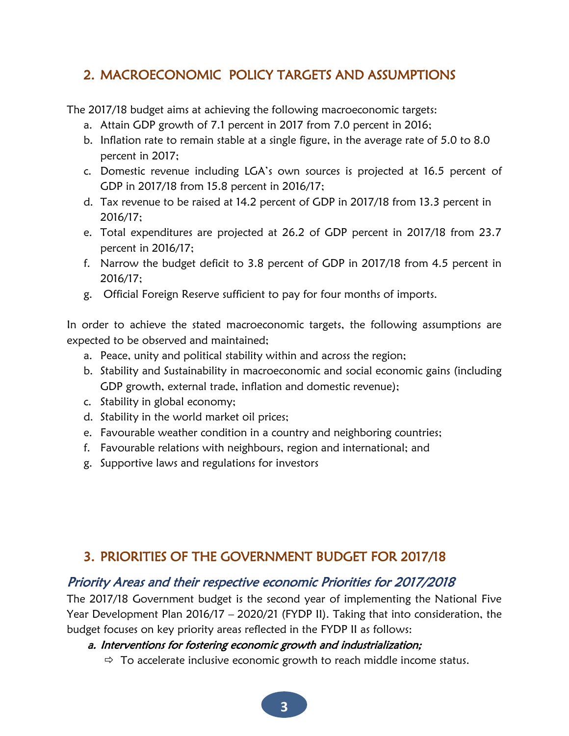#### 2. MACROECONOMIC POLICY TARGETS AND ASSUMPTIONS

The 2017/18 budget aims at achieving the following macroeconomic targets:

- a. Attain GDP growth of 7.1 percent in 2017 from 7.0 percent in 2016;
- b. Inflation rate to remain stable at a single figure, in the average rate of 5.0 to 8.0 percent in 2017;
- c. Domestic revenue including LGA's own sources is projected at 16.5 percent of GDP in 2017/18 from 15.8 percent in 2016/17;
- d. Tax revenue to be raised at 14.2 percent of GDP in 2017/18 from 13.3 percent in 2016/17;
- e. Total expenditures are projected at 26.2 of GDP percent in 2017/18 from 23.7 percent in 2016/17;
- f. Narrow the budget deficit to 3.8 percent of GDP in 2017/18 from 4.5 percent in 2016/17;
- g. Official Foreign Reserve sufficient to pay for four months of imports.

In order to achieve the stated macroeconomic targets, the following assumptions are expected to be observed and maintained;

- a. Peace, unity and political stability within and across the region;
- b. Stability and Sustainability in macroeconomic and social economic gains (including GDP growth, external trade, inflation and domestic revenue);
- c. Stability in global economy;
- d. Stability in the world market oil prices;
- e. Favourable weather condition in a country and neighboring countries;
- f. Favourable relations with neighbours, region and international; and
- g. Supportive laws and regulations for investors

#### 3. PRIORITIES OF THE GOVERNMENT BUDGET FOR 2017/18

#### Priority Areas and their respective economic Priorities for 2017/2018

The 2017/18 Government budget is the second year of implementing the National Five Year Development Plan 2016/17 – 2020/21 (FYDP II). Taking that into consideration, the budget focuses on key priority areas reflected in the FYDP II as follows:

#### a. Interventions for fostering economic growth and industrialization;

 $\Rightarrow$  To accelerate inclusive economic growth to reach middle income status.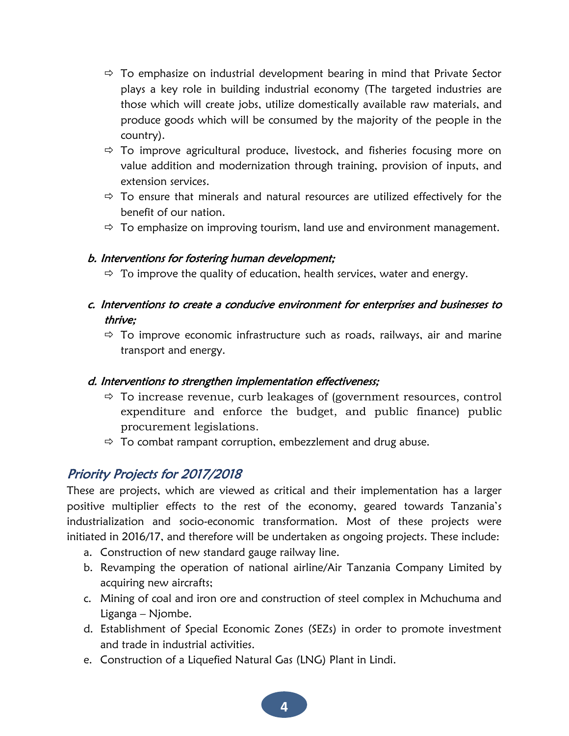- $\Rightarrow$  To emphasize on industrial development bearing in mind that Private Sector plays a key role in building industrial economy (The targeted industries are those which will create jobs, utilize domestically available raw materials, and produce goods which will be consumed by the majority of the people in the country).
- $\Rightarrow$  To improve agricultural produce, livestock, and fisheries focusing more on value addition and modernization through training, provision of inputs, and extension services.
- $\Rightarrow$  To ensure that minerals and natural resources are utilized effectively for the benefit of our nation.
- $\Rightarrow$  To emphasize on improving tourism, land use and environment management.

#### b. Interventions for fostering human development;

- $\Rightarrow$  To improve the quality of education, health services, water and energy.
- c. Interventions to create a conducive environment for enterprises and businesses to thrive;
	- $\Rightarrow$  To improve economic infrastructure such as roads, railways, air and marine transport and energy.

#### d. Interventions to strengthen implementation effectiveness;

- $\Rightarrow$  To increase revenue, curb leakages of (government resources, control expenditure and enforce the budget, and public finance) public procurement legislations.
- $\Rightarrow$  To combat rampant corruption, embezzlement and drug abuse.

#### Priority Projects for 2017/2018

These are projects, which are viewed as critical and their implementation has a larger positive multiplier effects to the rest of the economy, geared towards Tanzania's industrialization and socio-economic transformation. Most of these projects were initiated in 2016/17, and therefore will be undertaken as ongoing projects. These include:

- a. Construction of new standard gauge railway line.
- b. Revamping the operation of national airline/Air Tanzania Company Limited by acquiring new aircrafts;
- c. Mining of coal and iron ore and construction of steel complex in Mchuchuma and Liganga – Njombe.
- d. Establishment of Special Economic Zones (SEZs) in order to promote investment and trade in industrial activities.
- e. Construction of a Liquefied Natural Gas (LNG) Plant in Lindi.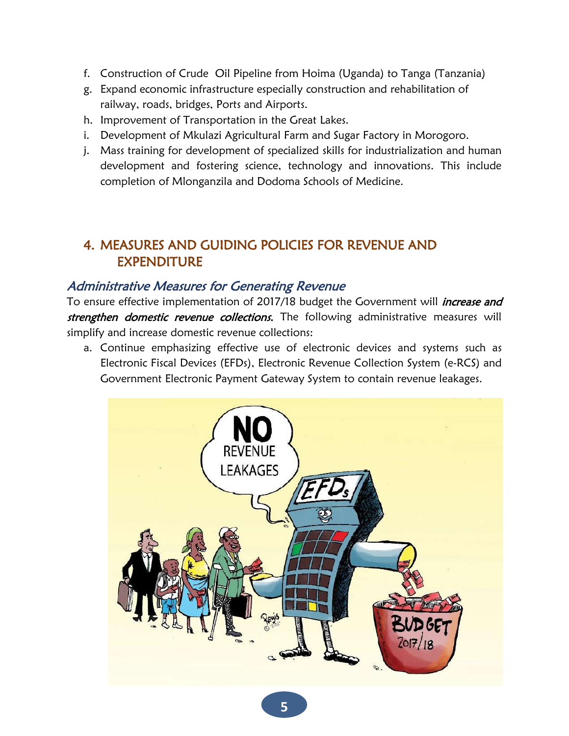- f. Construction of Crude Oil Pipeline from Hoima (Uganda) to Tanga (Tanzania)
- g. Expand economic infrastructure especially construction and rehabilitation of railway, roads, bridges, Ports and Airports.
- h. Improvement of Transportation in the Great Lakes.
- i. Development of Mkulazi Agricultural Farm and Sugar Factory in Morogoro.
- j. Mass training for development of specialized skills for industrialization and human development and fostering science, technology and innovations. This include completion of Mlonganzila and Dodoma Schools of Medicine.

#### 4. MEASURES AND GUIDING POLICIES FOR REVENUE AND EXPENDITURE

#### Administrative Measures for Generating Revenue

To ensure effective implementation of 2017/18 budget the Government will *increase and* strengthen domestic revenue collections. The following administrative measures will simplify and increase domestic revenue collections:

a. Continue emphasizing effective use of electronic devices and systems such as Electronic Fiscal Devices (EFDs), Electronic Revenue Collection System (e-RCS) and Government Electronic Payment Gateway System to contain revenue leakages.

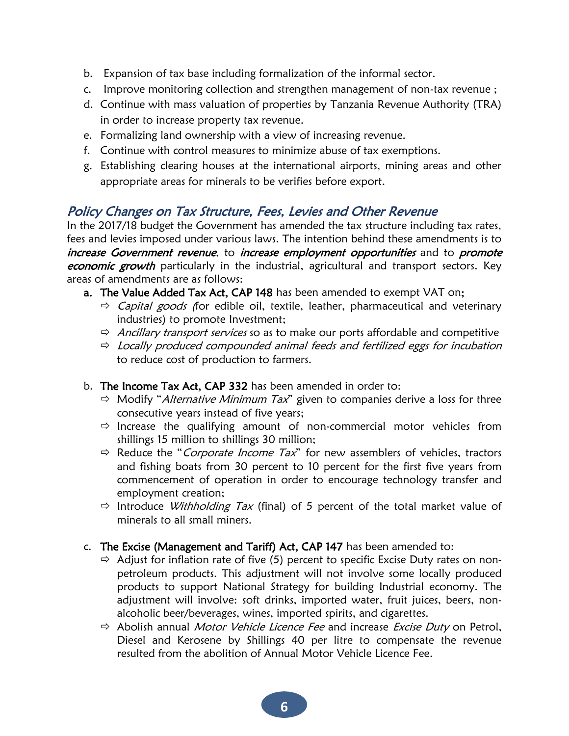- b. Expansion of tax base including formalization of the informal sector.
- c. Improve monitoring collection and strengthen management of non-tax revenue ;
- d. Continue with mass valuation of properties by Tanzania Revenue Authority (TRA) in order to increase property tax revenue.
- e. Formalizing land ownership with a view of increasing revenue.
- f. Continue with control measures to minimize abuse of tax exemptions.
- g. Establishing clearing houses at the international airports, mining areas and other appropriate areas for minerals to be verifies before export.

#### Policy Changes on Tax Structure, Fees, Levies and Other Revenue

In the 2017/18 budget the Government has amended the tax structure including tax rates, fees and levies imposed under various laws. The intention behind these amendments is to increase Government revenue, to increase employment opportunities and to promote economic growth particularly in the industrial, agricultural and transport sectors. Key areas of amendments are as follows:

- a. The Value Added Tax Act, CAP 148 has been amended to exempt VAT on;
	- $\Rightarrow$  Capital goods (for edible oil, textile, leather, pharmaceutical and veterinary industries) to promote Investment;
	- $\Rightarrow$  Ancillary transport services so as to make our ports affordable and competitive
	- $\Rightarrow$  Locally produced compounded animal feeds and fertilized eggs for incubation to reduce cost of production to farmers.
- b. The Income Tax Act, CAP 332 has been amended in order to:
	- $\Rightarrow$  Modify "Alternative Minimum Tax" given to companies derive a loss for three consecutive years instead of five years;
	- $\Rightarrow$  Increase the qualifying amount of non-commercial motor vehicles from shillings 15 million to shillings 30 million;
	- $\Rightarrow$  Reduce the "*Corporate Income Tax*" for new assemblers of vehicles, tractors and fishing boats from 30 percent to 10 percent for the first five years from commencement of operation in order to encourage technology transfer and employment creation;
	- $\Rightarrow$  Introduce *Withholding Tax* (final) of 5 percent of the total market value of minerals to all small miners.
- c. The Excise (Management and Tariff) Act, CAP 147 has been amended to:
	- $\Rightarrow$  Adjust for inflation rate of five (5) percent to specific Excise Duty rates on nonpetroleum products. This adjustment will not involve some locally produced products to support National Strategy for building Industrial economy. The adjustment will involve: soft drinks, imported water, fruit juices, beers, nonalcoholic beer/beverages, wines, imported spirits, and cigarettes.
	- $\Rightarrow$  Abolish annual *Motor Vehicle Licence Fee* and increase *Excise Duty* on Petrol, Diesel and Kerosene by Shillings 40 per litre to compensate the revenue resulted from the abolition of Annual Motor Vehicle Licence Fee.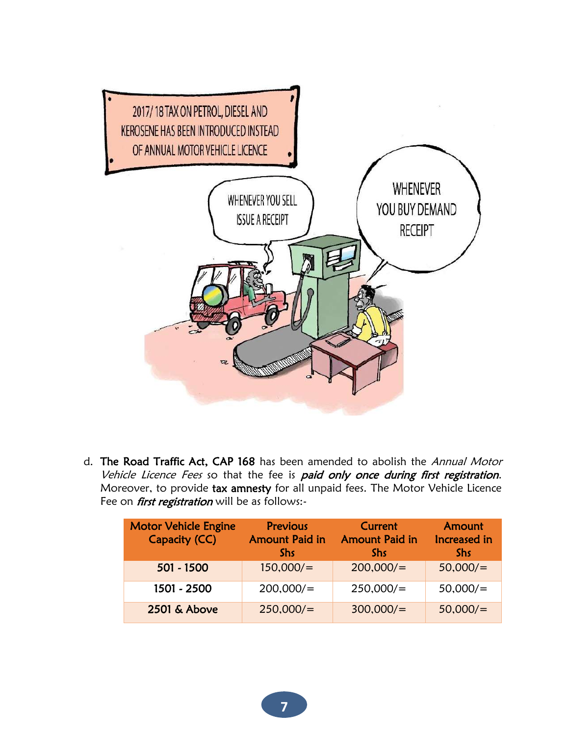

d. The Road Traffic Act, CAP 168 has been amended to abolish the Annual Motor Vehicle Licence Fees so that the fee is paid only once during first registration. Moreover, to provide tax amnesty for all unpaid fees. The Motor Vehicle Licence Fee on *first registration* will be as follows:-

| <b>Motor Vehicle Engine</b><br>Capacity (CC) | Previous<br><b>Amount Paid in</b><br><b>Shs</b> | Current<br><b>Amount Paid in</b><br><b>Shs</b> | Amount<br>Increased in<br><b>Shs</b> |
|----------------------------------------------|-------------------------------------------------|------------------------------------------------|--------------------------------------|
| 501 - 1500                                   | 150,000/                                        | 200,000/                                       | 50,000/                              |
| 1501 - 2500                                  | 200,000/                                        | 250,000/                                       | 50,000/                              |
| 2501 & Above                                 | 250,000/                                        | 300,000/                                       | 50,000/                              |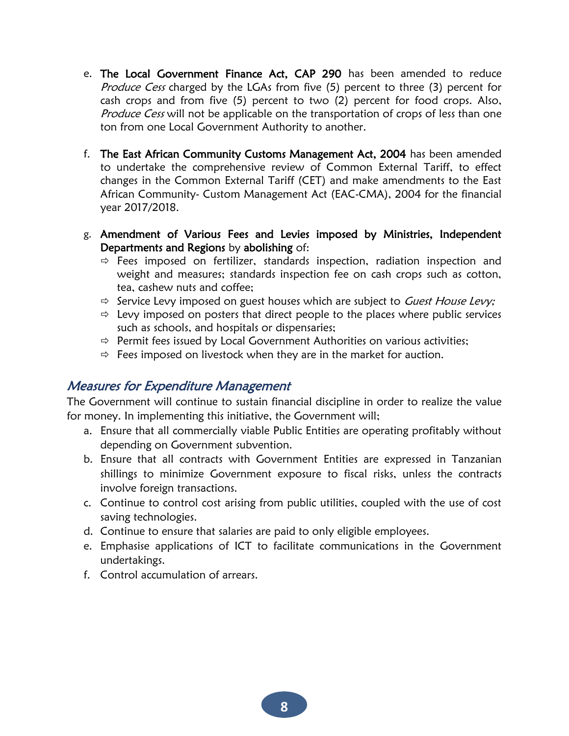- e. The Local Government Finance Act, CAP 290 has been amended to reduce Produce Cess charged by the LGAs from five (5) percent to three (3) percent for cash crops and from five (5) percent to two (2) percent for food crops. Also, Produce Cess will not be applicable on the transportation of crops of less than one ton from one Local Government Authority to another.
- f. The East African Community Customs Management Act, 2004 has been amended to undertake the comprehensive review of Common External Tariff, to effect changes in the Common External Tariff (CET) and make amendments to the East African Community- Custom Management Act (EAC-CMA), 2004 for the financial year 2017/2018.
- g. Amendment of Various Fees and Levies imposed by Ministries, Independent Departments and Regions by abolishing of:
	- $\Rightarrow$  Fees imposed on fertilizer, standards inspection, radiation inspection and weight and measures; standards inspection fee on cash crops such as cotton, tea, cashew nuts and coffee;
	- $\Rightarrow$  Service Levy imposed on guest houses which are subject to Guest House Levy;
	- $\Rightarrow$  Levy imposed on posters that direct people to the places where public services such as schools, and hospitals or dispensaries;
	- $\Rightarrow$  Permit fees issued by Local Government Authorities on various activities;
	- $\Rightarrow$  Fees imposed on livestock when they are in the market for auction.

#### Measures for Expenditure Management

The Government will continue to sustain financial discipline in order to realize the value for money. In implementing this initiative, the Government will;

- a. Ensure that all commercially viable Public Entities are operating profitably without depending on Government subvention.
- b. Ensure that all contracts with Government Entities are expressed in Tanzanian shillings to minimize Government exposure to fiscal risks, unless the contracts involve foreign transactions.
- c. Continue to control cost arising from public utilities, coupled with the use of cost saving technologies.
- d. Continue to ensure that salaries are paid to only eligible employees.
- e. Emphasise applications of ICT to facilitate communications in the Government undertakings.
- f. Control accumulation of arrears.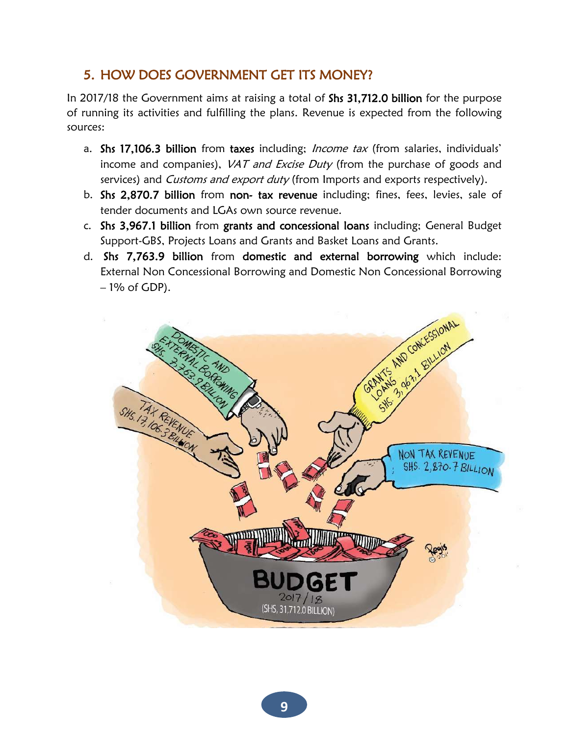#### 5. HOW DOES GOVERNMENT GET ITS MONEY?

In 2017/18 the Government aims at raising a total of Shs 31,712.0 billion for the purpose of running its activities and fulfilling the plans. Revenue is expected from the following sources:

- a. Shs 17,106.3 billion from taxes including; Income tax (from salaries, individuals' income and companies), *VAT and Excise Duty* (from the purchase of goods and services) and Customs and export duty (from Imports and exports respectively).
- b. Shs 2,870.7 billion from non- tax revenue including; fines, fees, levies, sale of tender documents and LGAs own source revenue.
- c. Shs 3,967.1 billion from grants and concessional loans including; General Budget Support-GBS, Projects Loans and Grants and Basket Loans and Grants.
- d. Shs 7,763.9 billion from domestic and external borrowing which include: External Non Concessional Borrowing and Domestic Non Concessional Borrowing  $-1\%$  of GDP).

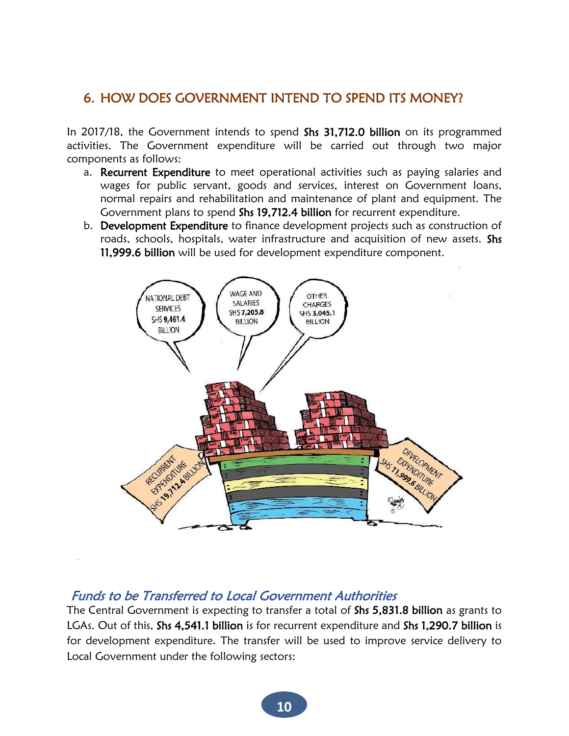#### 6. HOW DOES GOVERNMENT INTEND TO SPEND ITS MONEY?

In 2017/18, the Government intends to spend Shs 31,712.0 billion on its programmed activities. The Government expenditure will be carried out through two major components as follows:

- a. Recurrent Expenditure to meet operational activities such as paying salaries and wages for public servant, goods and services, interest on Government loans, normal repairs and rehabilitation and maintenance of plant and equipment. The Government plans to spend Shs 19,712.4 billion for recurrent expenditure.
- b. Development Expenditure to finance development projects such as construction of roads, schools, hospitals, water infrastructure and acquisition of new assets. Shs 11,999.6 billion will be used for development expenditure component.



#### Funds to be Transferred to Local Government Authorities

The Central Government is expecting to transfer a total of Shs 5,831.8 billion as grants to LGAs. Out of this, Shs 4,541.1 billion is for recurrent expenditure and Shs 1,290.7 billion is for development expenditure. The transfer will be used to improve service delivery to Local Government under the following sectors: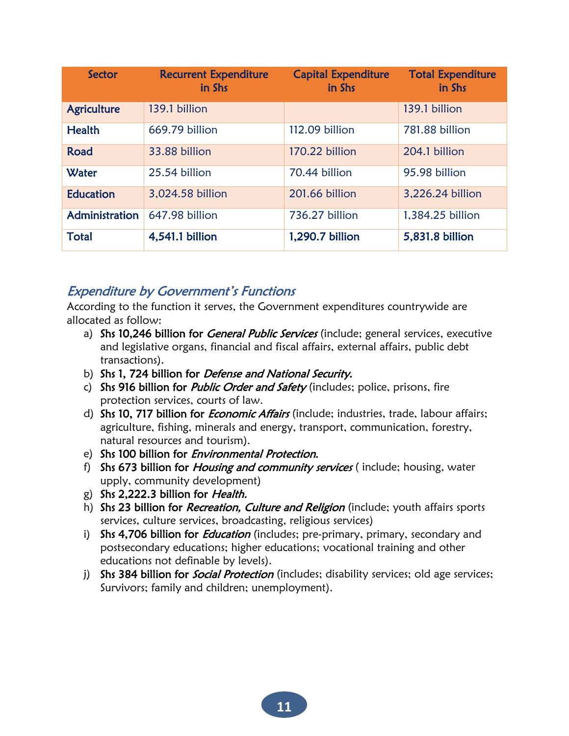| Sector             | <b>Recurrent Expenditure</b><br>in Shs | <b>Capital Expenditure</b><br>in Shs | <b>Total Expenditure</b><br>in Shs |
|--------------------|----------------------------------------|--------------------------------------|------------------------------------|
| <b>Agriculture</b> | 139.1 billion                          |                                      | 139.1 billion                      |
| <b>Health</b>      | 669.79 billion                         | 112.09 billion                       | 781.88 billion                     |
| Road               | 33.88 billion                          | 170.22 billion                       | 204.1 billion                      |
| Water              | 25.54 billion                          | 70.44 billion                        | 95.98 billion                      |
| <b>Education</b>   | 3,024.58 billion                       | 201.66 billion                       | 3,226.24 billion                   |
| Administration     | 647.98 billion                         | 736.27 billion                       | 1,384.25 billion                   |
| <b>Total</b>       | 4,541.1 billion                        | 1,290.7 billion                      | 5,831.8 billion                    |

#### Expenditure by Government's Functions

According to the function it serves, the Government expenditures countrywide are allocated as follow:

- a) Shs 10,246 billion for *General Public Services* (include; general services, executive and legislative organs, financial and fiscal affairs, external affairs, public debt transactions).
- b) Shs 1, 724 billion for *Defense and National Security*.
- c) Shs 916 billion for *Public Order and Safety* (includes; police, prisons, fire protection services, courts of law.
- d) Shs 10, 717 billion for *Economic Affairs* (include; industries, trade, labour affairs; agriculture, fishing, minerals and energy, transport, communication, forestry, natural resources and tourism).
- e) Shs 100 billion for *Environmental Protection*.
- f) Shs 673 billion for *Housing and community services* (include; housing, water upply, community development)
- g) Shs 2,222.3 billion for Health.
- h) Shs 23 billion for Recreation, Culture and Religion (include; youth affairs sports services, culture services, broadcasting, religious services)
- i) Shs 4,706 billion for *Education* (includes; pre-primary, primary, secondary and postsecondary educations; higher educations; vocational training and other educations not definable by levels).
- j) Shs 384 billion for *Social Protection* (includes; disability services; old age services; Survivors; family and children; unemployment).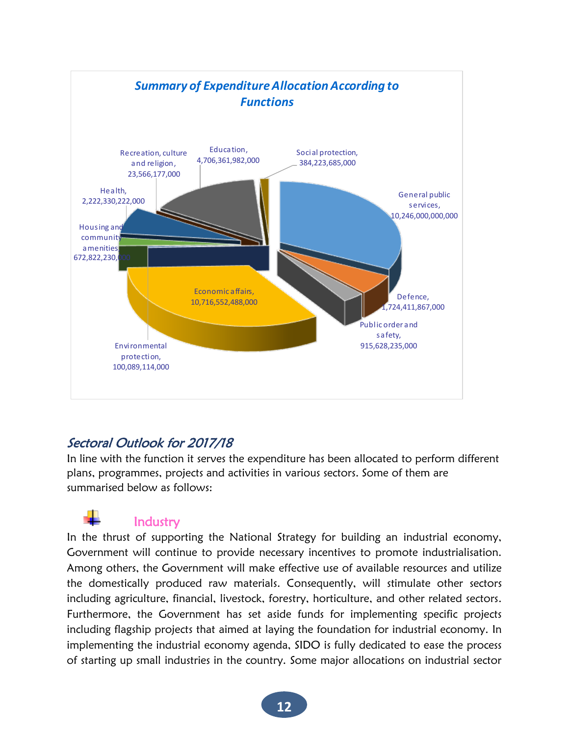

#### Sectoral Outlook for 2017/18

In line with the function it serves the expenditure has been allocated to perform different plans, programmes, projects and activities in various sectors. Some of them are summarised below as follows:

#### **Industry**

In the thrust of supporting the National Strategy for building an industrial economy, Government will continue to provide necessary incentives to promote industrialisation. Among others, the Government will make effective use of available resources and utilize the domestically produced raw materials. Consequently, will stimulate other sectors including agriculture, financial, livestock, forestry, horticulture, and other related sectors. Furthermore, the Government has set aside funds for implementing specific projects including flagship projects that aimed at laying the foundation for industrial economy. In implementing the industrial economy agenda, SIDO is fully dedicated to ease the process of starting up small industries in the country. Some major allocations on industrial sector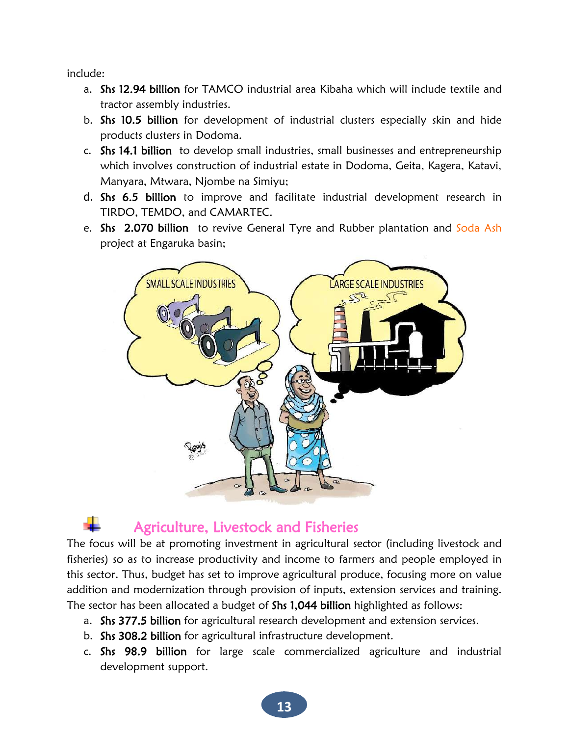include:

- a. Shs 12.94 billion for TAMCO industrial area Kibaha which will include textile and tractor assembly industries.
- b. Shs 10.5 billion for development of industrial clusters especially skin and hide products clusters in Dodoma.
- c. Shs 14.1 billion to develop small industries, small businesses and entrepreneurship which involves construction of industrial estate in Dodoma, Geita, Kagera, Katavi, Manyara, Mtwara, Njombe na Simiyu;
- d. Shs 6.5 billion to improve and facilitate industrial development research in TIRDO, TEMDO, and CAMARTEC.
- e. Shs 2.070 billion to revive General Tyre and Rubber plantation and Soda Ash project at Engaruka basin;



### Agriculture, Livestock and Fisheries

The focus will be at promoting investment in agricultural sector (including livestock and fisheries) so as to increase productivity and income to farmers and people employed in this sector. Thus, budget has set to improve agricultural produce, focusing more on value addition and modernization through provision of inputs, extension services and training. The sector has been allocated a budget of Shs 1,044 billion highlighted as follows:

- a. Shs 377.5 billion for agricultural research development and extension services.
- b. Shs 308.2 billion for agricultural infrastructure development.
- c. Shs 98.9 billion for large scale commercialized agriculture and industrial development support.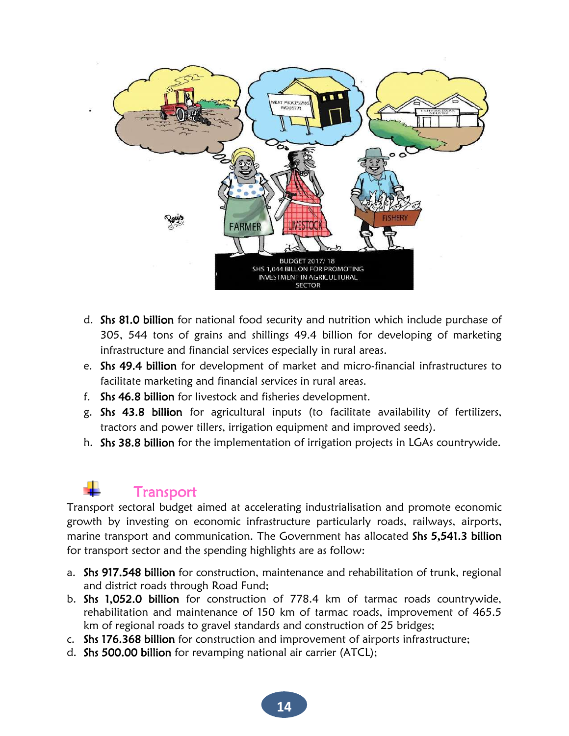

- d. Shs 81.0 billion for national food security and nutrition which include purchase of 305, 544 tons of grains and shillings 49.4 billion for developing of marketing infrastructure and financial services especially in rural areas.
- e. Shs 49.4 billion for development of market and micro-financial infrastructures to facilitate marketing and financial services in rural areas.
- f. Shs 46.8 billion for livestock and fisheries development.
- g. Shs 43.8 billion for agricultural inputs (to facilitate availability of fertilizers, tractors and power tillers, irrigation equipment and improved seeds).
- h. Shs 38.8 billion for the implementation of irrigation projects in LGAs countrywide.

# **Transport**

Transport sectoral budget aimed at accelerating industrialisation and promote economic growth by investing on economic infrastructure particularly roads, railways, airports, marine transport and communication. The Government has allocated Shs 5,541.3 billion for transport sector and the spending highlights are as follow:

- a. Shs 917.548 billion for construction, maintenance and rehabilitation of trunk, regional and district roads through Road Fund;
- b. Shs 1,052.0 billion for construction of 778.4 km of tarmac roads countrywide, rehabilitation and maintenance of 150 km of tarmac roads, improvement of 465.5 km of regional roads to gravel standards and construction of 25 bridges;
- c. Shs 176.368 billion for construction and improvement of airports infrastructure;
- d. Shs 500.00 billion for revamping national air carrier (ATCL);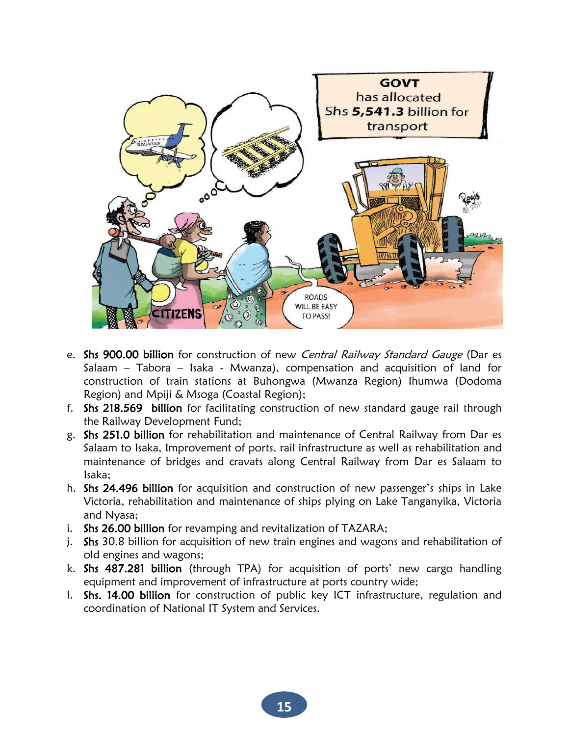

- e. Shs 900.00 billion for construction of new Central Railway Standard Gauge (Dar es Salaam – Tabora – Isaka - Mwanza), compensation and acquisition of land for construction of train stations at Buhongwa (Mwanza Region) Ihumwa (Dodoma Region) and Mpiji & Msoga (Coastal Region);
- f. Shs 218.569 billion for facilitating construction of new standard gauge rail through the Railway Development Fund;
- g. Shs 251.0 billion for rehabilitation and maintenance of Central Railway from Dar es Salaam to Isaka, Improvement of ports, rail infrastructure as well as rehabilitation and maintenance of bridges and cravats along Central Railway from Dar es Salaam to Isaka;
- h. Shs 24.496 billion for acquisition and construction of new passenger's ships in Lake Victoria, rehabilitation and maintenance of ships plying on Lake Tanganyika, Victoria and Nyasa;
- i. Shs 26.00 billion for revamping and revitalization of TAZARA;
- j. Shs 30.8 billion for acquisition of new train engines and wagons and rehabilitation of old engines and wagons;
- k. Shs 487.281 billion (through TPA) for acquisition of ports' new cargo handling equipment and improvement of infrastructure at ports country wide;
- l. Shs. 14.00 billion for construction of public key ICT infrastructure, regulation and coordination of National IT System and Services.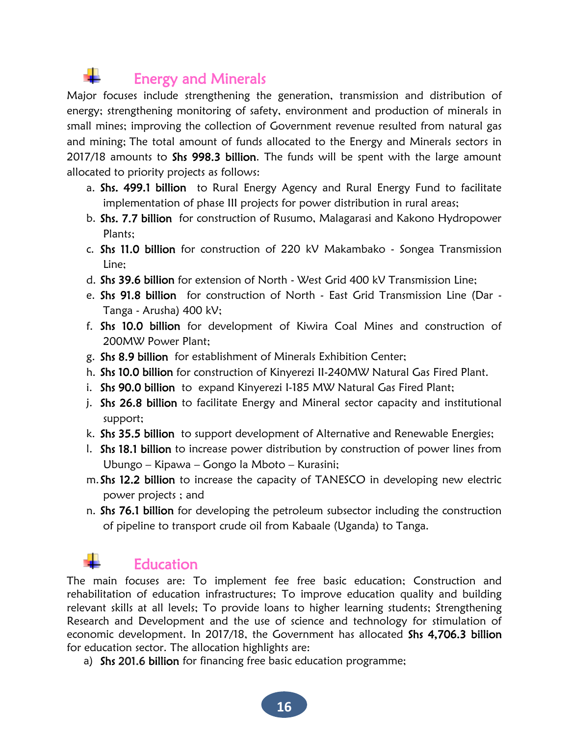# Energy and Minerals

Major focuses include strengthening the generation, transmission and distribution of energy; strengthening monitoring of safety, environment and production of minerals in small mines; improving the collection of Government revenue resulted from natural gas and mining; The total amount of funds allocated to the Energy and Minerals sectors in 2017/18 amounts to Shs 998.3 billion. The funds will be spent with the large amount allocated to priority projects as follows:

- a. Shs. 499.1 billion to Rural Energy Agency and Rural Energy Fund to facilitate implementation of phase III projects for power distribution in rural areas;
- b. Shs. 7.7 billion for construction of Rusumo, Malagarasi and Kakono Hydropower Plants;
- c. Shs 11.0 billion for construction of 220 kV Makambako Songea Transmission Line;
- d. Shs 39.6 billion for extension of North West Grid 400 kV Transmission Line;
- e. Shs 91.8 billion for construction of North East Grid Transmission Line (Dar Tanga - Arusha) 400 kV;
- f. Shs 10.0 billion for development of Kiwira Coal Mines and construction of 200MW Power Plant;
- g. Shs 8.9 billion for establishment of Minerals Exhibition Center;
- h. Shs 10.0 billion for construction of Kinyerezi II-240MW Natural Gas Fired Plant.
- i. Shs 90.0 billion to expand Kinyerezi I-185 MW Natural Gas Fired Plant;
- j. Shs 26.8 billion to facilitate Energy and Mineral sector capacity and institutional support;
- k. Shs 35.5 billion to support development of Alternative and Renewable Energies;
- l. Shs 18.1 billion to increase power distribution by construction of power lines from Ubungo – Kipawa – Gongo la Mboto – Kurasini;
- m. Shs 12.2 billion to increase the capacity of TANESCO in developing new electric power projects ; and
- n. Shs 76.1 billion for developing the petroleum subsector including the construction of pipeline to transport crude oil from Kabaale (Uganda) to Tanga.

# Education

The main focuses are: To implement fee free basic education; Construction and rehabilitation of education infrastructures; To improve education quality and building relevant skills at all levels; To provide loans to higher learning students; Strengthening Research and Development and the use of science and technology for stimulation of economic development. In 2017/18, the Government has allocated Shs 4,706.3 billion for education sector. The allocation highlights are:

a) Shs 201.6 billion for financing free basic education programme;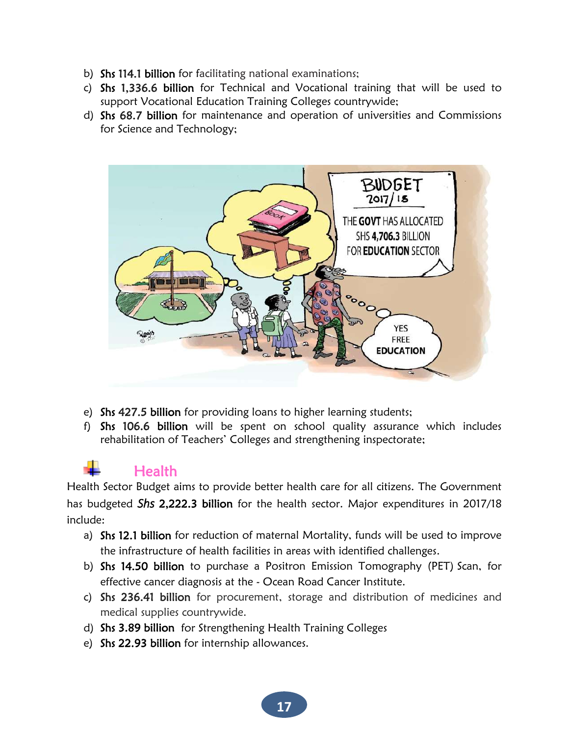- b) Shs 114.1 billion for facilitating national examinations;
- c) Shs 1,336.6 billion for Technical and Vocational training that will be used to support Vocational Education Training Colleges countrywide;
- d) Shs 68.7 billion for maintenance and operation of universities and Commissions for Science and Technology;



- e) Shs 427.5 billion for providing loans to higher learning students;
- f) Shs 106.6 billion will be spent on school quality assurance which includes rehabilitation of Teachers' Colleges and strengthening inspectorate;

### Health

Health Sector Budget aims to provide better health care for all citizens. The Government has budgeted *Shs* 2,222.3 billion for the health sector. Major expenditures in 2017/18 include:

- a) Shs 12.1 billion for reduction of maternal Mortality, funds will be used to improve the infrastructure of health facilities in areas with identified challenges.
- b) Shs 14.50 billion to purchase a Positron Emission Tomography (PET) Scan, for effective cancer diagnosis at the - Ocean Road Cancer Institute.
- c) Shs 236.41 billion for procurement, storage and distribution of medicines and medical supplies countrywide.
- d) Shs 3.89 billion for Strengthening Health Training Colleges
- e) Shs 22.93 billion for internship allowances.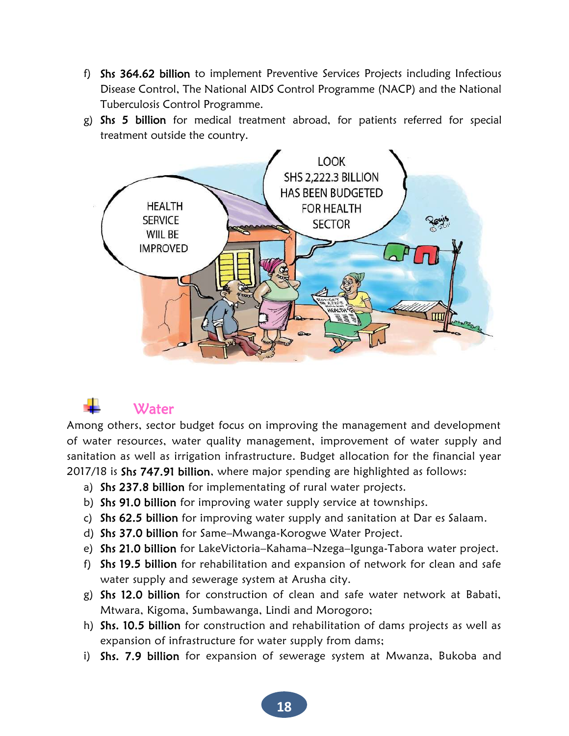- f) Shs 364.62 billion to implement Preventive Services Projects including Infectious Disease Control, The National AIDS Control Programme (NACP) and the National Tuberculosis Control Programme.
- g) Shs 5 billion for medical treatment abroad, for patients referred for special treatment outside the country.



### **Water**

Among others, sector budget focus on improving the management and development of water resources, water quality management, improvement of water supply and sanitation as well as irrigation infrastructure. Budget allocation for the financial year 2017/18 is Shs 747.91 billion, where major spending are highlighted as follows:

- a) Shs 237.8 billion for implementating of rural water projects.
- b) Shs 91.0 billion for improving water supply service at townships.
- c) Shs 62.5 billion for improving water supply and sanitation at Dar es Salaam.
- d) Shs 37.0 billion for Same–Mwanga-Korogwe Water Project.
- e) Shs 21.0 billion for LakeVictoria–Kahama–Nzega–Igunga-Tabora water project.
- f) Shs 19.5 billion for rehabilitation and expansion of network for clean and safe water supply and sewerage system at Arusha city.
- g) Shs 12.0 billion for construction of clean and safe water network at Babati, Mtwara, Kigoma, Sumbawanga, Lindi and Morogoro;
- h) Shs. 10.5 billion for construction and rehabilitation of dams projects as well as expansion of infrastructure for water supply from dams;
- i) Shs. 7.9 billion for expansion of sewerage system at Mwanza, Bukoba and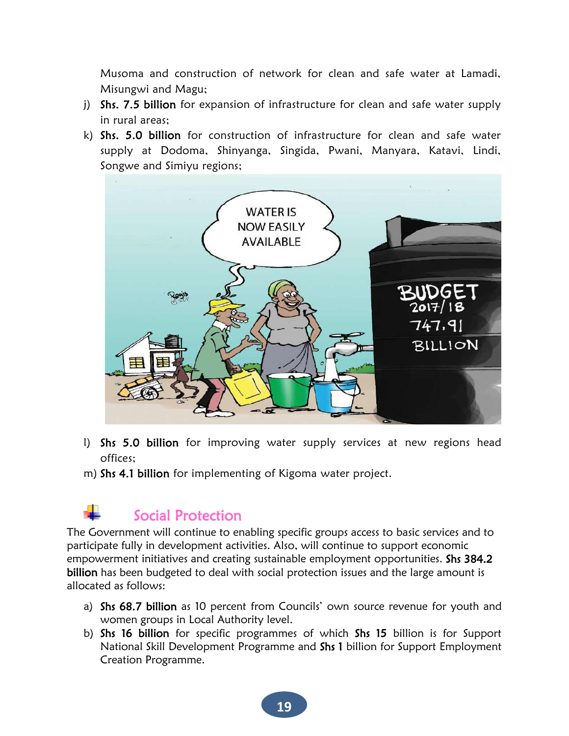Musoma and construction of network for clean and safe water at Lamadi, Misungwi and Magu;

- j) Shs. 7.5 billion for expansion of infrastructure for clean and safe water supply in rural areas;
- k) Shs. 5.0 billion for construction of infrastructure for clean and safe water supply at Dodoma, Shinyanga, Singida, Pwani, Manyara, Katavi, Lindi, Songwe and Simiyu regions;



- l) Shs 5.0 billion for improving water supply services at new regions head offices;
- m) Shs 4.1 billion for implementing of Kigoma water project.

# Social Protection

The Government will continue to enabling specific groups access to basic services and to participate fully in development activities. Also, will continue to support economic empowerment initiatives and creating sustainable employment opportunities. Shs 384.2 billion has been budgeted to deal with social protection issues and the large amount is allocated as follows:

- a) Shs 68.7 billion as 10 percent from Councils' own source revenue for youth and women groups in Local Authority level.
- b) Shs 16 billion for specific programmes of which Shs 15 billion is for Support National Skill Development Programme and Shs 1 billion for Support Employment Creation Programme.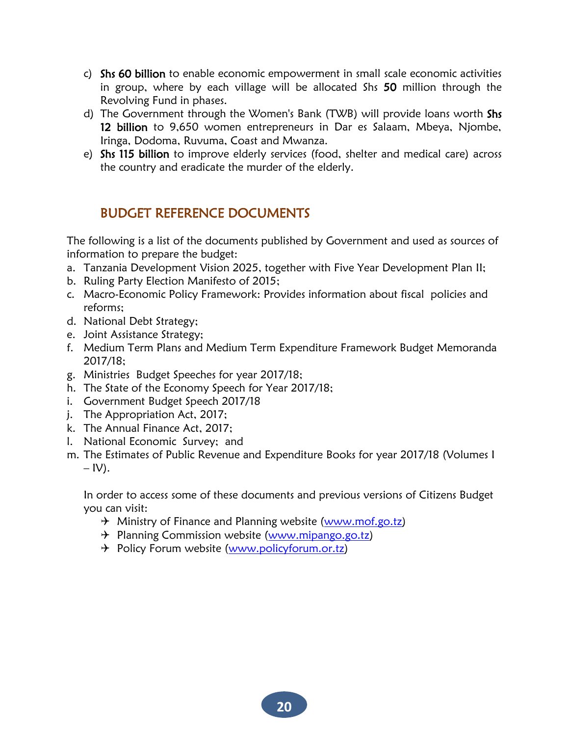- c) Shs 60 billion to enable economic empowerment in small scale economic activities in group, where by each village will be allocated Shs 50 million through the Revolving Fund in phases.
- d) The Government through the Women's Bank (TWB) will provide loans worth Shs 12 billion to 9,650 women entrepreneurs in Dar es Salaam, Mbeya, Njombe, Iringa, Dodoma, Ruvuma, Coast and Mwanza.
- e) Shs 115 billion to improve elderly services (food, shelter and medical care) across the country and eradicate the murder of the elderly.

#### BUDGET REFERENCE DOCUMENTS

The following is a list of the documents published by Government and used as sources of information to prepare the budget:

- a. Tanzania Development Vision 2025, together with Five Year Development Plan II;
- b. Ruling Party Election Manifesto of 2015;
- c. Macro-Economic Policy Framework: Provides information about fiscal policies and reforms;
- d. National Debt Strategy;
- e. Joint Assistance Strategy;
- f. Medium Term Plans and Medium Term Expenditure Framework Budget Memoranda 2017/18;
- g. Ministries Budget Speeches for year 2017/18;
- h. The State of the Economy Speech for Year 2017/18;
- i. Government Budget Speech 2017/18
- j. The Appropriation Act, 2017;
- k. The Annual Finance Act, 2017;
- l. National Economic Survey; and
- m. The Estimates of Public Revenue and Expenditure Books for year 2017/18 (Volumes I  $-$  IV).

In order to access some of these documents and previous versions of Citizens Budget you can visit:

- $\rightarrow$  Ministry of Finance and Planning website [\(www.mof.go.tz\)](http://www.mof.go.tz/)
- + Planning Commission website [\(www.mipango.go.tz\)](http://www.mipango.go.tz/)
- → Policy Forum website [\(www.policyforum.or.tz\)](http://www.policyforum.or.tz/)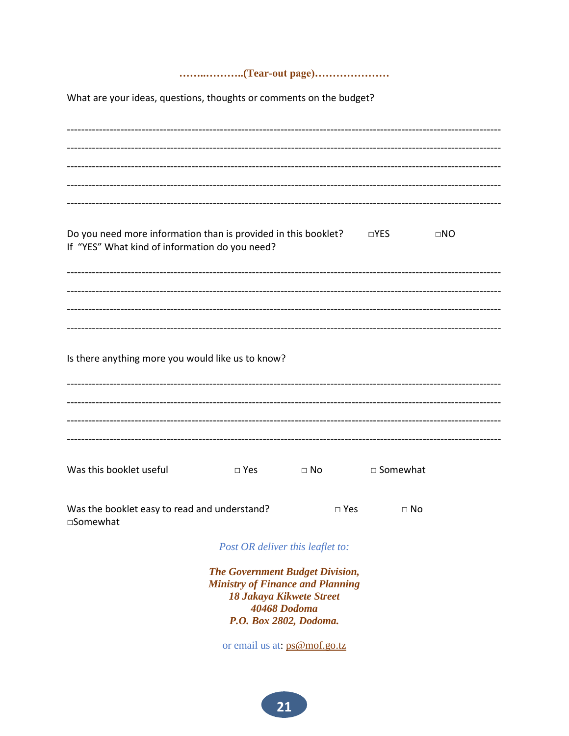#### 

What are your ideas, questions, thoughts or comments on the budget?

| Do you need more information than is provided in this booklet? $\square$ YES<br>If "YES" What kind of information do you need? |                                                                                                                               | ----------------------------- |            | $\square NO$ |  |  |  |
|--------------------------------------------------------------------------------------------------------------------------------|-------------------------------------------------------------------------------------------------------------------------------|-------------------------------|------------|--------------|--|--|--|
|                                                                                                                                |                                                                                                                               |                               |            |              |  |  |  |
| Is there anything more you would like us to know?                                                                              |                                                                                                                               |                               |            |              |  |  |  |
|                                                                                                                                |                                                                                                                               |                               |            |              |  |  |  |
| Was this booklet useful                                                                                                        | $\square$ Yes                                                                                                                 | $\square$ No                  | □ Somewhat |              |  |  |  |
| Was the booklet easy to read and understand?<br>□Somewhat                                                                      |                                                                                                                               | $\square$ Yes                 | $\Box$ No  |              |  |  |  |
|                                                                                                                                | Post OR deliver this leaflet to:                                                                                              |                               |            |              |  |  |  |
|                                                                                                                                | <b>The Government Budget Division,</b><br><b>Ministry of Finance and Planning</b><br>18 Jakaya Kikwete Street<br>40468 Dodoma |                               |            |              |  |  |  |

or email us at: ps@mof.go.tz

P.O. Box 2802, Dodoma.